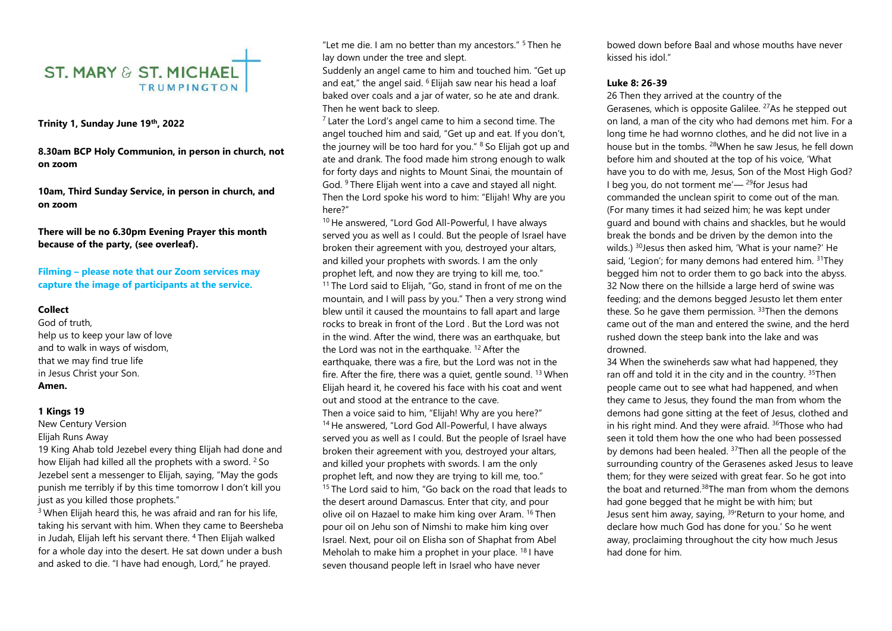

## **Trinity 1, Sunday June 19th, 2022**

**8.30am BCP Holy Communion, in person in church, not on zoom** 

**10am, Third Sunday Service, in person in church, and on zoom**

**There will be no 6.30pm Evening Prayer this month because of the party, (see overleaf).**

**Filming – please note that our Zoom services may capture the image of participants at the service.** 

### **Collect**

God of truth, help us to keep your law of love and to walk in ways of wisdom, that we may find true life in Jesus Christ your Son. **Amen.**

#### **1 Kings 19**

New Century Version Elijah Runs Away

19 King Ahab told Jezebel every thing Elijah had done and how Elijah had killed all the prophets with a sword. <sup>2</sup> So Jezebel sent a messenger to Elijah, saying, "May the gods punish me terribly if by this time tomorrow I don't kill you just as you killed those prophets."

 $3$  When Elijah heard this, he was afraid and ran for his life, taking his servant with him. When they came to Beersheba in Judah, Elijah left his servant there. <sup>4</sup> Then Elijah walked for a whole day into the desert. He sat down under a bush and asked to die. "I have had enough, Lord," he prayed.

"Let me die. I am no better than my ancestors." <sup>5</sup> Then he lay down under the tree and slept.

Suddenly an angel came to him and touched him. "Get up and eat," the angel said.  $6$  Elijah saw near his head a loaf baked over coals and a jar of water, so he ate and drank. Then he went back to sleep.

 $<sup>7</sup>$  Later the Lord's angel came to him a second time. The</sup> angel touched him and said, "Get up and eat. If you don't, the journey will be too hard for you." <sup>8</sup> So Elijah got up and ate and drank. The food made him strong enough to walk for forty days and nights to Mount Sinai, the mountain of God. <sup>9</sup> There Elijah went into a cave and stayed all night. Then the Lord spoke his word to him: "Elijah! Why are you here?"

<sup>10</sup> He answered, "Lord God All-Powerful, I have always served you as well as I could. But the people of Israel have broken their agreement with you, destroyed your altars, and killed your prophets with swords. I am the only prophet left, and now they are trying to kill me, too." <sup>11</sup> The Lord said to Elijah, "Go, stand in front of me on the mountain, and I will pass by you." Then a very strong wind blew until it caused the mountains to fall apart and large rocks to break in front of the Lord . But the Lord was not in the wind. After the wind, there was an earthquake, but the Lord was not in the earthquake. <sup>12</sup> After the earthquake, there was a fire, but the Lord was not in the fire. After the fire, there was a quiet, gentle sound. <sup>13</sup> When Elijah heard it, he covered his face with his coat and went out and stood at the entrance to the cave. Then a voice said to him, "Elijah! Why are you here?" <sup>14</sup> He answered, "Lord God All-Powerful, I have always served you as well as I could. But the people of Israel have broken their agreement with you, destroyed your altars, and killed your prophets with swords. I am the only prophet left, and now they are trying to kill me, too." <sup>15</sup> The Lord said to him, "Go back on the road that leads to the desert around Damascus. Enter that city, and pour olive oil on Hazael to make him king over Aram. <sup>16</sup> Then pour oil on Jehu son of Nimshi to make him king over Israel. Next, pour oil on Elisha son of Shaphat from Abel Meholah to make him a prophet in your place. <sup>18</sup> I have seven thousand people left in Israel who have never

bowed down before Baal and whose mouths have never kissed his idol."

## **Luke 8: 26-39**

26 Then they arrived at the country of the Gerasenes, which is opposite Galilee. <sup>27</sup>As he stepped out on land, a man of the city who had demons met him. For a long time he had wornno clothes, and he did not live in a house but in the tombs. <sup>28</sup>When he saw Jesus, he fell down before him and shouted at the top of his voice, 'What have you to do with me, Jesus, Son of the Most High God? I beg you, do not torment me'— $29$  for Jesus had commanded the unclean spirit to come out of the man. (For many times it had seized him; he was kept under guard and bound with chains and shackles, but he would break the bonds and be driven by the demon into the wilds.) <sup>30</sup> Jesus then asked him, 'What is your name?' He said, 'Legion'; for many demons had entered him. <sup>31</sup>They begged him not to order them to go back into the abyss. 32 Now there on the hillside a large herd of swine was feeding; and the demons begged Jesusto let them enter these. So he gave them permission.  $33$ Then the demons came out of the man and entered the swine, and the herd rushed down the steep bank into the lake and was drowned.

34 When the swineherds saw what had happened, they ran off and told it in the city and in the country. <sup>35</sup>Then people came out to see what had happened, and when they came to Jesus, they found the man from whom the demons had gone sitting at the feet of Jesus, clothed and in his right mind. And they were afraid. <sup>36</sup>Those who had seen it told them how the one who had been possessed by demons had been healed. <sup>37</sup>Then all the people of the surrounding country of the Gerasenes asked Jesus to leave them; for they were seized with great fear. So he got into the boat and returned.<sup>38</sup>The man from whom the demons had gone begged that he might be with him; but Jesus sent him away, saying, <sup>39</sup>'Return to your home, and declare how much God has done for you.' So he went away, proclaiming throughout the city how much Jesus had done for him.